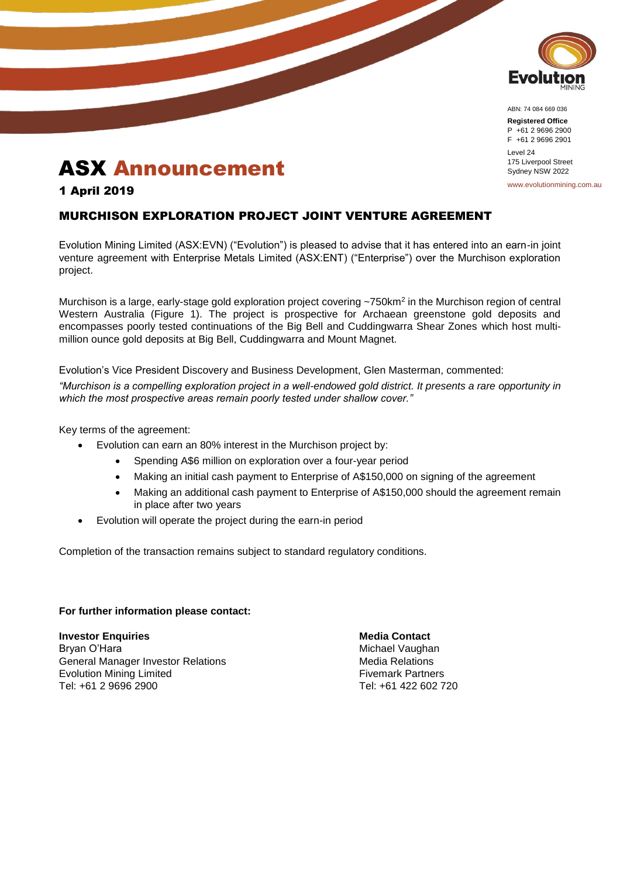

ABN: 74 084 669 036

**Registered Office** P +61 2 9696 2900 F +61 2 9696 2901 Level 24 175 Liverpool Street Sydney NSW 2022

www.evolutionmining.com.au

## ASX Announcement

1 April 2019

## MURCHISON EXPLORATION PROJECT JOINT VENTURE AGREEMENT

Evolution Mining Limited (ASX:EVN) ("Evolution") is pleased to advise that it has entered into an earn-in joint venture agreement with Enterprise Metals Limited (ASX:ENT) ("Enterprise") over the Murchison exploration project.

Murchison is a large, early-stage gold exploration project covering ~750km<sup>2</sup> in the Murchison region of central Western Australia (Figure 1). The project is prospective for Archaean greenstone gold deposits and encompasses poorly tested continuations of the Big Bell and Cuddingwarra Shear Zones which host multimillion ounce gold deposits at Big Bell, Cuddingwarra and Mount Magnet.

Evolution's Vice President Discovery and Business Development, Glen Masterman, commented:

*"Murchison is a compelling exploration project in a well-endowed gold district. It presents a rare opportunity in which the most prospective areas remain poorly tested under shallow cover."*

Key terms of the agreement:

- Evolution can earn an 80% interest in the Murchison project by:
	- Spending A\$6 million on exploration over a four-year period
	- Making an initial cash payment to Enterprise of A\$150,000 on signing of the agreement
	- Making an additional cash payment to Enterprise of A\$150,000 should the agreement remain in place after two years
- Evolution will operate the project during the earn-in period

Completion of the transaction remains subject to standard regulatory conditions.

## **For further information please contact:**

**Investor Enquiries Media Contact** Bryan O'Hara Michael Vaughan Michael Vaughan General Manager Investor Relations **Media Relations** Media Relations Evolution Mining Limited **Fixed Example 2018** Fivemark Partners Tel: +61 2 9696 2900 Tel: +61 422 602 720